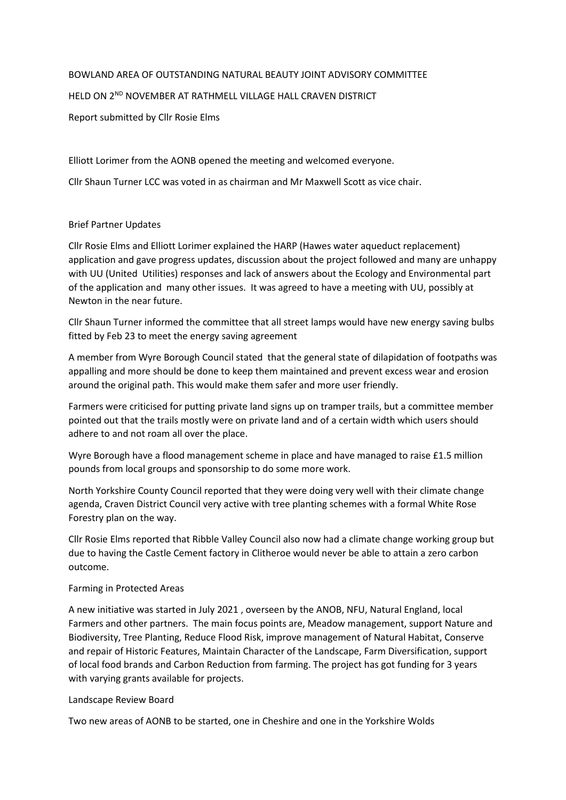## BOWLAND AREA OF OUTSTANDING NATURAL BEAUTY JOINT ADVISORY COMMITTEE

# HELD ON 2<sup>ND</sup> NOVEMBER AT RATHMELL VILLAGE HALL CRAVEN DISTRICT

Report submitted by Cllr Rosie Elms

Elliott Lorimer from the AONB opened the meeting and welcomed everyone.

Cllr Shaun Turner LCC was voted in as chairman and Mr Maxwell Scott as vice chair.

## Brief Partner Updates

Cllr Rosie Elms and Elliott Lorimer explained the HARP (Hawes water aqueduct replacement) application and gave progress updates, discussion about the project followed and many are unhappy with UU (United Utilities) responses and lack of answers about the Ecology and Environmental part of the application and many other issues. It was agreed to have a meeting with UU, possibly at Newton in the near future.

Cllr Shaun Turner informed the committee that all street lamps would have new energy saving bulbs fitted by Feb 23 to meet the energy saving agreement

A member from Wyre Borough Council stated that the general state of dilapidation of footpaths was appalling and more should be done to keep them maintained and prevent excess wear and erosion around the original path. This would make them safer and more user friendly.

Farmers were criticised for putting private land signs up on tramper trails, but a committee member pointed out that the trails mostly were on private land and of a certain width which users should adhere to and not roam all over the place.

Wyre Borough have a flood management scheme in place and have managed to raise £1.5 million pounds from local groups and sponsorship to do some more work.

North Yorkshire County Council reported that they were doing very well with their climate change agenda, Craven District Council very active with tree planting schemes with a formal White Rose Forestry plan on the way.

Cllr Rosie Elms reported that Ribble Valley Council also now had a climate change working group but due to having the Castle Cement factory in Clitheroe would never be able to attain a zero carbon outcome.

#### Farming in Protected Areas

A new initiative was started in July 2021 , overseen by the ANOB, NFU, Natural England, local Farmers and other partners. The main focus points are, Meadow management, support Nature and Biodiversity, Tree Planting, Reduce Flood Risk, improve management of Natural Habitat, Conserve and repair of Historic Features, Maintain Character of the Landscape, Farm Diversification, support of local food brands and Carbon Reduction from farming. The project has got funding for 3 years with varying grants available for projects.

#### Landscape Review Board

Two new areas of AONB to be started, one in Cheshire and one in the Yorkshire Wolds